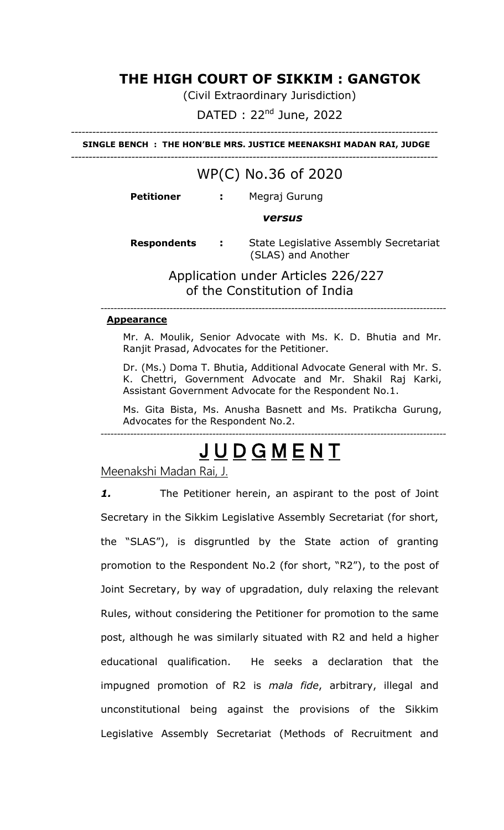# **THE HIGH COURT OF SIKKIM : GANGTOK**

(Civil Extraordinary Jurisdiction)

 $DATA$  : 22<sup>nd</sup> June, 2022

------------------------------------------------------------------------------------------------------- **SINGLE BENCH : THE HON'BLE MRS. JUSTICE MEENAKSHI MADAN RAI, JUDGE**

-------------------------------------------------------------------------------------------------------

# WP(C) No.36 of 2020

**Petitioner :** Megraj Gurung

#### *versus*

 **Respondents :** State Legislative Assembly Secretariat (SLAS) and Another

> Application under Articles 226/227 of the Constitution of India

---------------------------------------------------------------------------------------------------------

#### **Appearance**

Mr. A. Moulik, Senior Advocate with Ms. K. D. Bhutia and Mr. Ranjit Prasad, Advocates for the Petitioner.

Dr. (Ms.) Doma T. Bhutia, Additional Advocate General with Mr. S. K. Chettri, Government Advocate and Mr. Shakil Raj Karki, Assistant Government Advocate for the Respondent No.1.

Ms. Gita Bista, Ms. Anusha Basnett and Ms. Pratikcha Gurung, Advocates for the Respondent No.2.

# J U D G M E N T

---------------------------------------------------------------------------------------------------------

Meenakshi Madan Rai, J.

*1.* The Petitioner herein, an aspirant to the post of Joint Secretary in the Sikkim Legislative Assembly Secretariat (for short, the "SLAS"), is disgruntled by the State action of granting promotion to the Respondent No.2 (for short, "R2"), to the post of Joint Secretary, by way of upgradation, duly relaxing the relevant Rules, without considering the Petitioner for promotion to the same post, although he was similarly situated with R2 and held a higher educational qualification. He seeks a declaration that the impugned promotion of R2 is *mala fide*, arbitrary, illegal and unconstitutional being against the provisions of the Sikkim Legislative Assembly Secretariat (Methods of Recruitment and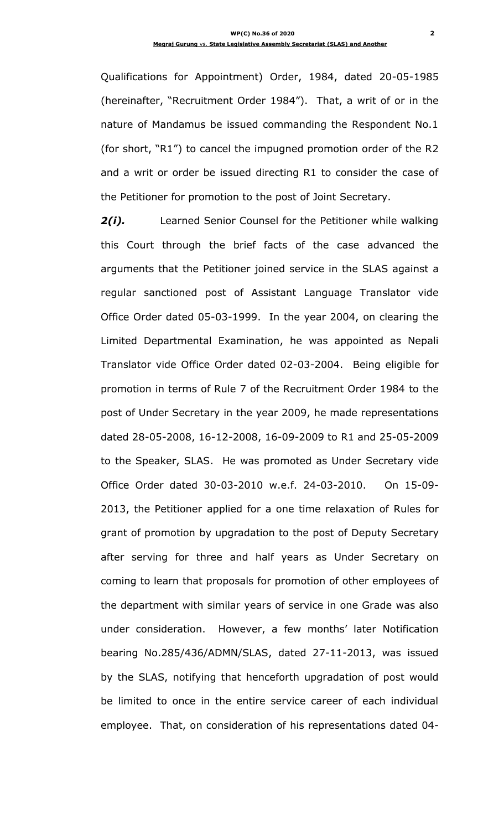Qualifications for Appointment) Order, 1984, dated 20-05-1985 (hereinafter, "Recruitment Order 1984"). That, a writ of or in the nature of Mandamus be issued commanding the Respondent No.1 (for short, "R1") to cancel the impugned promotion order of the R2 and a writ or order be issued directing R1 to consider the case of the Petitioner for promotion to the post of Joint Secretary.

*2(i).* Learned Senior Counsel for the Petitioner while walking this Court through the brief facts of the case advanced the arguments that the Petitioner joined service in the SLAS against a regular sanctioned post of Assistant Language Translator vide Office Order dated 05-03-1999. In the year 2004, on clearing the Limited Departmental Examination, he was appointed as Nepali Translator vide Office Order dated 02-03-2004. Being eligible for promotion in terms of Rule 7 of the Recruitment Order 1984 to the post of Under Secretary in the year 2009, he made representations dated 28-05-2008, 16-12-2008, 16-09-2009 to R1 and 25-05-2009 to the Speaker, SLAS. He was promoted as Under Secretary vide Office Order dated 30-03-2010 w.e.f. 24-03-2010. On 15-09- 2013, the Petitioner applied for a one time relaxation of Rules for grant of promotion by upgradation to the post of Deputy Secretary after serving for three and half years as Under Secretary on coming to learn that proposals for promotion of other employees of the department with similar years of service in one Grade was also under consideration. However, a few months' later Notification bearing No.285/436/ADMN/SLAS, dated 27-11-2013, was issued by the SLAS, notifying that henceforth upgradation of post would be limited to once in the entire service career of each individual employee. That, on consideration of his representations dated 04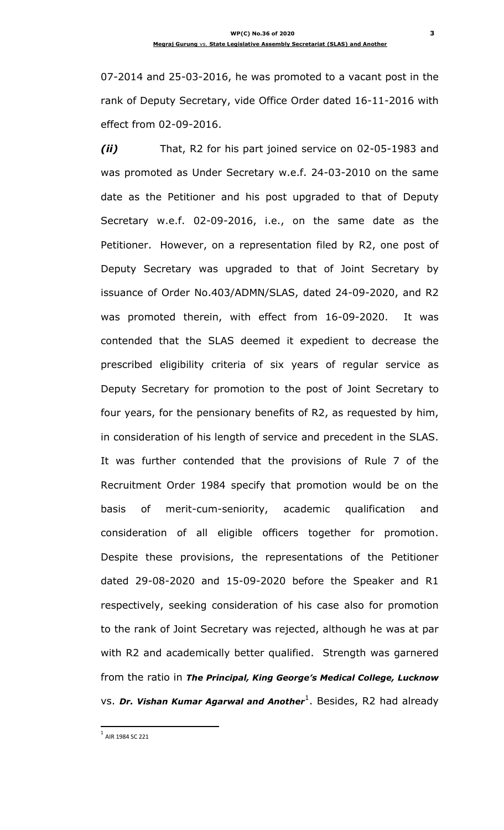07-2014 and 25-03-2016, he was promoted to a vacant post in the rank of Deputy Secretary, vide Office Order dated 16-11-2016 with effect from 02-09-2016.

*(ii)* That, R2 for his part joined service on 02-05-1983 and was promoted as Under Secretary w.e.f. 24-03-2010 on the same date as the Petitioner and his post upgraded to that of Deputy Secretary w.e.f. 02-09-2016, i.e., on the same date as the Petitioner. However, on a representation filed by R2, one post of Deputy Secretary was upgraded to that of Joint Secretary by issuance of Order No.403/ADMN/SLAS, dated 24-09-2020, and R2 was promoted therein, with effect from 16-09-2020. It was contended that the SLAS deemed it expedient to decrease the prescribed eligibility criteria of six years of regular service as Deputy Secretary for promotion to the post of Joint Secretary to four years, for the pensionary benefits of R2, as requested by him, in consideration of his length of service and precedent in the SLAS. It was further contended that the provisions of Rule 7 of the Recruitment Order 1984 specify that promotion would be on the basis of merit-cum-seniority, academic qualification and consideration of all eligible officers together for promotion. Despite these provisions, the representations of the Petitioner dated 29-08-2020 and 15-09-2020 before the Speaker and R1 respectively, seeking consideration of his case also for promotion to the rank of Joint Secretary was rejected, although he was at par with R2 and academically better qualified. Strength was garnered from the ratio in *The Principal, King George's Medical College, Lucknow* vs. Dr. Vishan Kumar Agarwal and Another<sup>1</sup>. Besides, R2 had already

 $^{\rm 1}$  AIR 1984 SC 221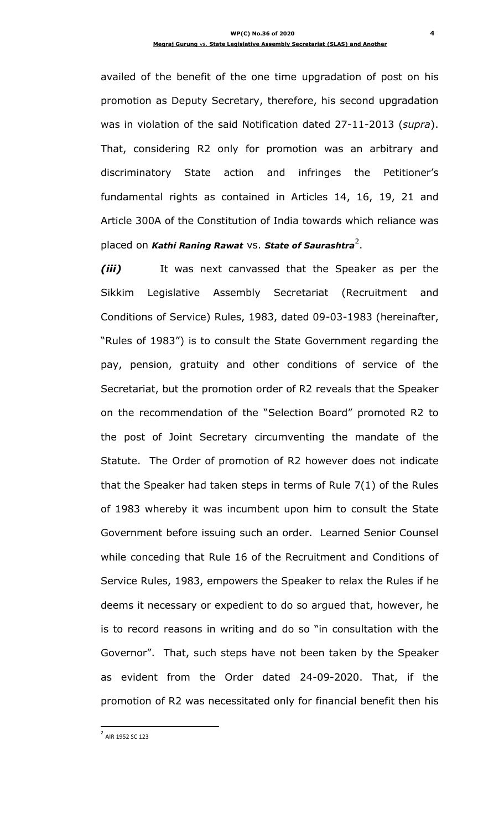availed of the benefit of the one time upgradation of post on his promotion as Deputy Secretary, therefore, his second upgradation was in violation of the said Notification dated 27-11-2013 (*supra*). That, considering R2 only for promotion was an arbitrary and discriminatory State action and infringes the Petitioner"s fundamental rights as contained in Articles 14, 16, 19, 21 and Article 300A of the Constitution of India towards which reliance was placed on *Kathi Raning Rawat* VS. State of Saurashtra<sup>2</sup>.

*(iii)* It was next canvassed that the Speaker as per the Sikkim Legislative Assembly Secretariat (Recruitment and Conditions of Service) Rules, 1983, dated 09-03-1983 (hereinafter, "Rules of 1983") is to consult the State Government regarding the pay, pension, gratuity and other conditions of service of the Secretariat, but the promotion order of R2 reveals that the Speaker on the recommendation of the "Selection Board" promoted R2 to the post of Joint Secretary circumventing the mandate of the Statute. The Order of promotion of R2 however does not indicate that the Speaker had taken steps in terms of Rule 7(1) of the Rules of 1983 whereby it was incumbent upon him to consult the State Government before issuing such an order. Learned Senior Counsel while conceding that Rule 16 of the Recruitment and Conditions of Service Rules, 1983, empowers the Speaker to relax the Rules if he deems it necessary or expedient to do so argued that, however, he is to record reasons in writing and do so "in consultation with the Governor". That, such steps have not been taken by the Speaker as evident from the Order dated 24-09-2020. That, if the promotion of R2 was necessitated only for financial benefit then his

<sup>&</sup>lt;sup>2</sup> AIR 1952 SC 123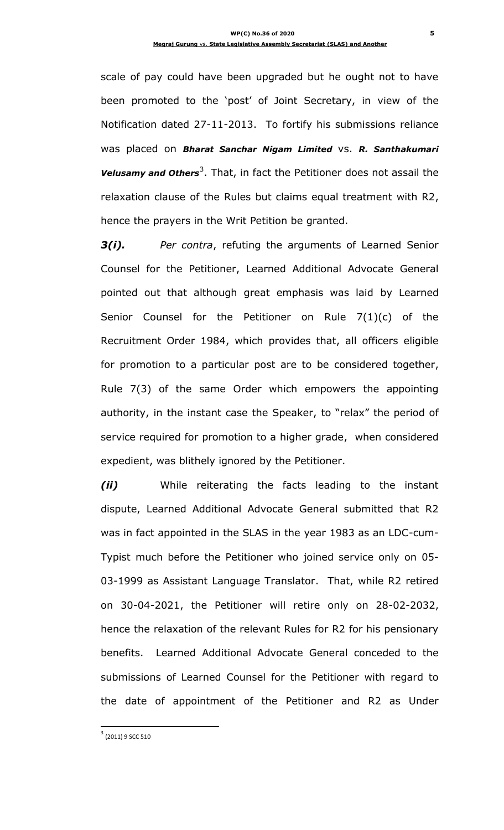scale of pay could have been upgraded but he ought not to have been promoted to the "post" of Joint Secretary, in view of the Notification dated 27-11-2013. To fortify his submissions reliance was placed on *Bharat Sanchar Nigam Limited* vs. *R. Santhakumari*  **Velusamy and Others**<sup>3</sup>. That, in fact the Petitioner does not assail the relaxation clause of the Rules but claims equal treatment with R2, hence the prayers in the Writ Petition be granted.

*3(i). Per contra*, refuting the arguments of Learned Senior Counsel for the Petitioner, Learned Additional Advocate General pointed out that although great emphasis was laid by Learned Senior Counsel for the Petitioner on Rule 7(1)(c) of the Recruitment Order 1984, which provides that, all officers eligible for promotion to a particular post are to be considered together, Rule 7(3) of the same Order which empowers the appointing authority, in the instant case the Speaker, to "relax" the period of service required for promotion to a higher grade, when considered expedient, was blithely ignored by the Petitioner.

*(ii)* While reiterating the facts leading to the instant dispute, Learned Additional Advocate General submitted that R2 was in fact appointed in the SLAS in the year 1983 as an LDC-cum-Typist much before the Petitioner who joined service only on 05- 03-1999 as Assistant Language Translator. That, while R2 retired on 30-04-2021, the Petitioner will retire only on 28-02-2032, hence the relaxation of the relevant Rules for R2 for his pensionary benefits. Learned Additional Advocate General conceded to the submissions of Learned Counsel for the Petitioner with regard to the date of appointment of the Petitioner and R2 as Under

 $3$  (2011) 9 SCC 510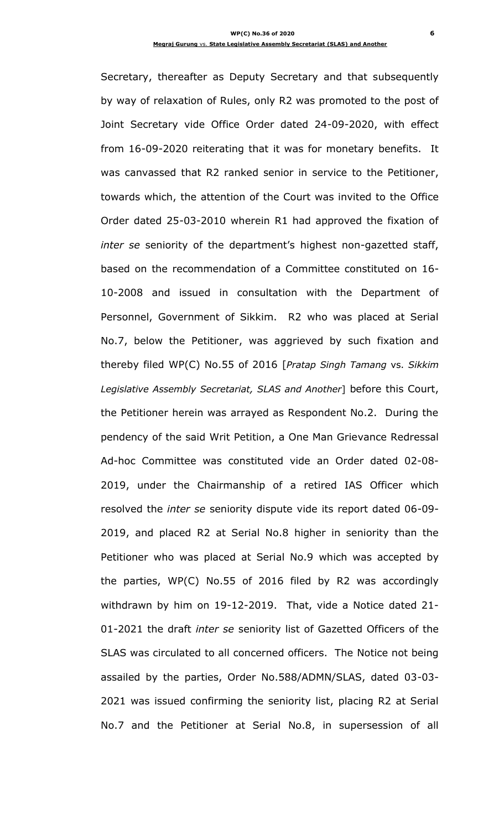Secretary, thereafter as Deputy Secretary and that subsequently by way of relaxation of Rules, only R2 was promoted to the post of Joint Secretary vide Office Order dated 24-09-2020, with effect from 16-09-2020 reiterating that it was for monetary benefits. It was canvassed that R2 ranked senior in service to the Petitioner, towards which, the attention of the Court was invited to the Office Order dated 25-03-2010 wherein R1 had approved the fixation of *inter se* seniority of the department"s highest non-gazetted staff, based on the recommendation of a Committee constituted on 16- 10-2008 and issued in consultation with the Department of Personnel, Government of Sikkim. R2 who was placed at Serial No.7, below the Petitioner, was aggrieved by such fixation and thereby filed WP(C) No.55 of 2016 [*Pratap Singh Tamang* vs. *Sikkim Legislative Assembly Secretariat, SLAS and Another*] before this Court, the Petitioner herein was arrayed as Respondent No.2. During the pendency of the said Writ Petition, a One Man Grievance Redressal Ad-hoc Committee was constituted vide an Order dated 02-08- 2019, under the Chairmanship of a retired IAS Officer which resolved the *inter se* seniority dispute vide its report dated 06-09- 2019, and placed R2 at Serial No.8 higher in seniority than the Petitioner who was placed at Serial No.9 which was accepted by the parties, WP(C) No.55 of 2016 filed by R2 was accordingly withdrawn by him on 19-12-2019. That, vide a Notice dated 21- 01-2021 the draft *inter se* seniority list of Gazetted Officers of the SLAS was circulated to all concerned officers. The Notice not being assailed by the parties, Order No.588/ADMN/SLAS, dated 03-03- 2021 was issued confirming the seniority list, placing R2 at Serial No.7 and the Petitioner at Serial No.8, in supersession of all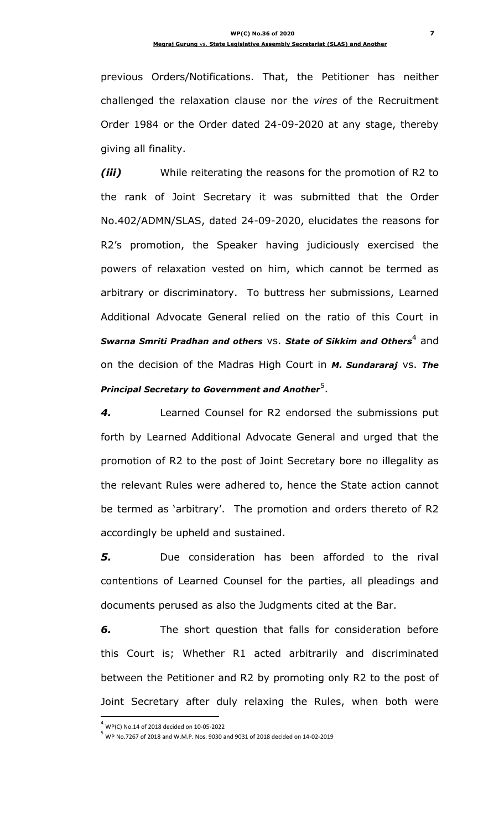previous Orders/Notifications. That, the Petitioner has neither challenged the relaxation clause nor the *vires* of the Recruitment Order 1984 or the Order dated 24-09-2020 at any stage, thereby giving all finality.

*(iii)* While reiterating the reasons for the promotion of R2 to the rank of Joint Secretary it was submitted that the Order No.402/ADMN/SLAS, dated 24-09-2020, elucidates the reasons for R2"s promotion, the Speaker having judiciously exercised the powers of relaxation vested on him, which cannot be termed as arbitrary or discriminatory. To buttress her submissions, Learned Additional Advocate General relied on the ratio of this Court in *Swarna Smriti Pradhan and others <code>vs.</code> <i>State of Sikkim and Others* $^4$  *<code>and</code>* on the decision of the Madras High Court in *M. Sundararaj* vs. *The Principal Secretary to Government and Another*<sup>5</sup> .

*4.* Learned Counsel for R2 endorsed the submissions put forth by Learned Additional Advocate General and urged that the promotion of R2 to the post of Joint Secretary bore no illegality as the relevant Rules were adhered to, hence the State action cannot be termed as 'arbitrary'. The promotion and orders thereto of R2 accordingly be upheld and sustained.

*5.* Due consideration has been afforded to the rival contentions of Learned Counsel for the parties, all pleadings and documents perused as also the Judgments cited at the Bar.

*6.* The short question that falls for consideration before this Court is; Whether R1 acted arbitrarily and discriminated between the Petitioner and R2 by promoting only R2 to the post of Joint Secretary after duly relaxing the Rules, when both were

 $^4$  WP(C) No.14 of 2018 decided on 10-05-2022

 $^5$  WP No.7267 of 2018 and W.M.P. Nos. 9030 and 9031 of 2018 decided on 14-02-2019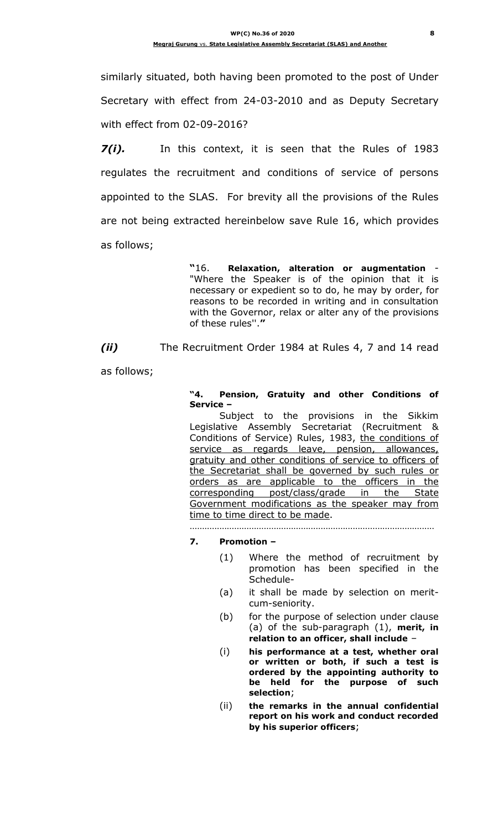similarly situated, both having been promoted to the post of Under Secretary with effect from 24-03-2010 and as Deputy Secretary with effect from 02-09-2016?

*7(i).* In this context, it is seen that the Rules of 1983 regulates the recruitment and conditions of service of persons appointed to the SLAS. For brevity all the provisions of the Rules are not being extracted hereinbelow save Rule 16, which provides as follows;

> **"**16. **Relaxation, alteration or augmentation** - "Where the Speaker is of the opinion that it is necessary or expedient so to do, he may by order, for reasons to be recorded in writing and in consultation with the Governor, relax or alter any of the provisions of these rules''.**"**

*(ii)* The Recruitment Order 1984 at Rules 4, 7 and 14 read

as follows;

**"4. Pension, Gratuity and other Conditions of Service –**

Subject to the provisions in the Sikkim Legislative Assembly Secretariat (Recruitment & Conditions of Service) Rules, 1983, the conditions of service as regards leave, pension, allowances, gratuity and other conditions of service to officers of the Secretariat shall be governed by such rules or orders as are applicable to the officers in the corresponding post/class/grade in the State Government modifications as the speaker may from time to time direct to be made.

………………………………………………………………………………………

### **7. Promotion –**

- (1) Where the method of recruitment by promotion has been specified in the Schedule-
- (a) it shall be made by selection on meritcum-seniority.
- (b) for the purpose of selection under clause (a) of the sub-paragraph (1), **merit, in relation to an officer, shall include** –
- (i) **his performance at a test, whether oral or written or both, if such a test is ordered by the appointing authority to be held for the purpose of such selection**;
- (ii) **the remarks in the annual confidential report on his work and conduct recorded by his superior officers**;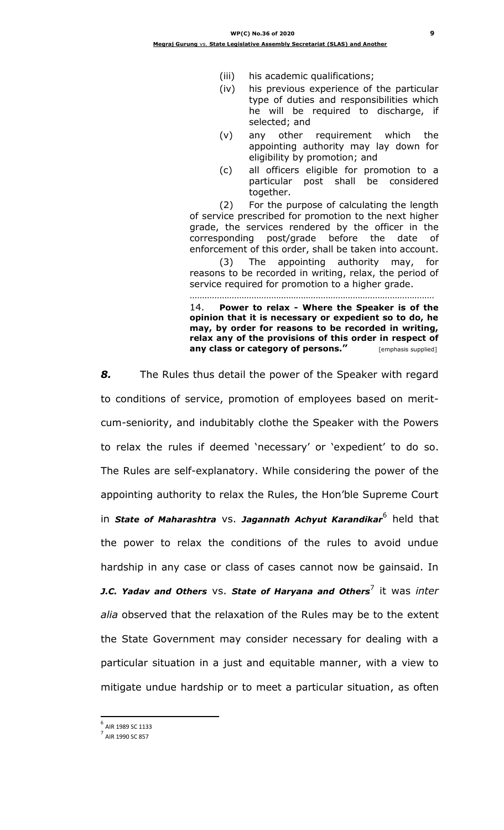- (iii) his academic qualifications;
- (iv) his previous experience of the particular type of duties and responsibilities which he will be required to discharge, if selected; and
- (v) any other requirement which the appointing authority may lay down for eligibility by promotion; and
- (c) all officers eligible for promotion to a particular post shall be considered together.

(2) For the purpose of calculating the length of service prescribed for promotion to the next higher grade, the services rendered by the officer in the corresponding post/grade before the date of enforcement of this order, shall be taken into account.

(3) The appointing authority may, for reasons to be recorded in writing, relax, the period of service required for promotion to a higher grade. ………………………………………………………………………………………

14. **Power to relax - Where the Speaker is of the opinion that it is necessary or expedient so to do, he may, by order for reasons to be recorded in writing, relax any of the provisions of this order in respect of any class or category of persons."** [emphasis supplied]

*8.* The Rules thus detail the power of the Speaker with regard to conditions of service, promotion of employees based on meritcum-seniority, and indubitably clothe the Speaker with the Powers to relax the rules if deemed 'necessary' or 'expedient' to do so. The Rules are self-explanatory. While considering the power of the appointing authority to relax the Rules, the Hon"ble Supreme Court in *State of Maharashtra* vs. *Jagannath Achyut Karandikar*<sup>6</sup> held that the power to relax the conditions of the rules to avoid undue hardship in any case or class of cases cannot now be gainsaid. In *J.C. Yadav and Others VS. State of Haryana and Others<sup>7</sup> it was inter alia* observed that the relaxation of the Rules may be to the extent the State Government may consider necessary for dealing with a particular situation in a just and equitable manner, with a view to mitigate undue hardship or to meet a particular situation, as often

<sup>6</sup> AIR 1989 SC 1133

 $^{7}$  AIR 1990 SC 857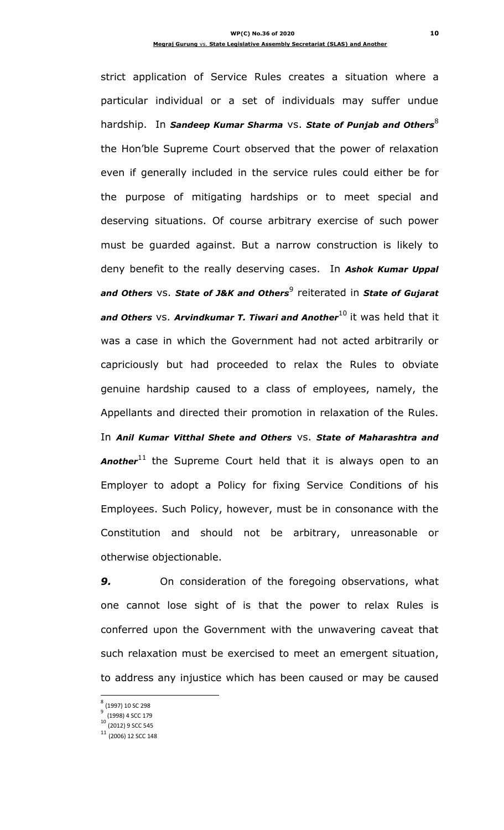strict application of Service Rules creates a situation where a particular individual or a set of individuals may suffer undue hardship. In **Sandeep Kumar Sharma** VS. State of Punjab and Others<sup>8</sup> the Hon"ble Supreme Court observed that the power of relaxation even if generally included in the service rules could either be for the purpose of mitigating hardships or to meet special and deserving situations. Of course arbitrary exercise of such power must be guarded against. But a narrow construction is likely to deny benefit to the really deserving cases. In *Ashok Kumar Uppal*  and Others VS. State of J&K and Others<sup>9</sup> reiterated in State of Gujarat **and Others** VS. Arvindkumar T. Tiwari and Another<sup>10</sup> it was held that it was a case in which the Government had not acted arbitrarily or capriciously but had proceeded to relax the Rules to obviate genuine hardship caused to a class of employees, namely, the Appellants and directed their promotion in relaxation of the Rules. In *Anil Kumar Vitthal Shete and Others* vs. *State of Maharashtra and*  Another<sup>11</sup> the Supreme Court held that it is always open to an Employer to adopt a Policy for fixing Service Conditions of his Employees. Such Policy, however, must be in consonance with the Constitution and should not be arbitrary, unreasonable or otherwise objectionable.

**9.** On consideration of the foregoing observations, what one cannot lose sight of is that the power to relax Rules is conferred upon the Government with the unwavering caveat that such relaxation must be exercised to meet an emergent situation, to address any injustice which has been caused or may be caused

 $\frac{8}{9}$  (1997) 10 SC 298

(1998) 4 SCC 179

<sup>10</sup> (2012) 9 SCC 545

 $11$  (2006) 12 SCC 148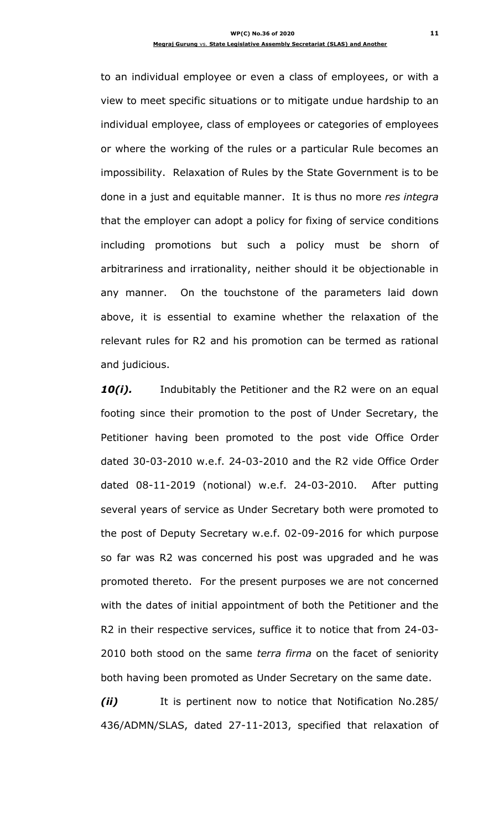to an individual employee or even a class of employees, or with a view to meet specific situations or to mitigate undue hardship to an individual employee, class of employees or categories of employees or where the working of the rules or a particular Rule becomes an impossibility. Relaxation of Rules by the State Government is to be done in a just and equitable manner. It is thus no more *res integra*  that the employer can adopt a policy for fixing of service conditions including promotions but such a policy must be shorn of arbitrariness and irrationality, neither should it be objectionable in any manner. On the touchstone of the parameters laid down above, it is essential to examine whether the relaxation of the relevant rules for R2 and his promotion can be termed as rational and judicious.

**10(i).** Indubitably the Petitioner and the R2 were on an equal footing since their promotion to the post of Under Secretary, the Petitioner having been promoted to the post vide Office Order dated 30-03-2010 w.e.f. 24-03-2010 and the R2 vide Office Order dated 08-11-2019 (notional) w.e.f. 24-03-2010. After putting several years of service as Under Secretary both were promoted to the post of Deputy Secretary w.e.f. 02-09-2016 for which purpose so far was R2 was concerned his post was upgraded and he was promoted thereto. For the present purposes we are not concerned with the dates of initial appointment of both the Petitioner and the R2 in their respective services, suffice it to notice that from 24-03- 2010 both stood on the same *terra firma* on the facet of seniority both having been promoted as Under Secretary on the same date.

*(ii)* It is pertinent now to notice that Notification No.285/ 436/ADMN/SLAS, dated 27-11-2013, specified that relaxation of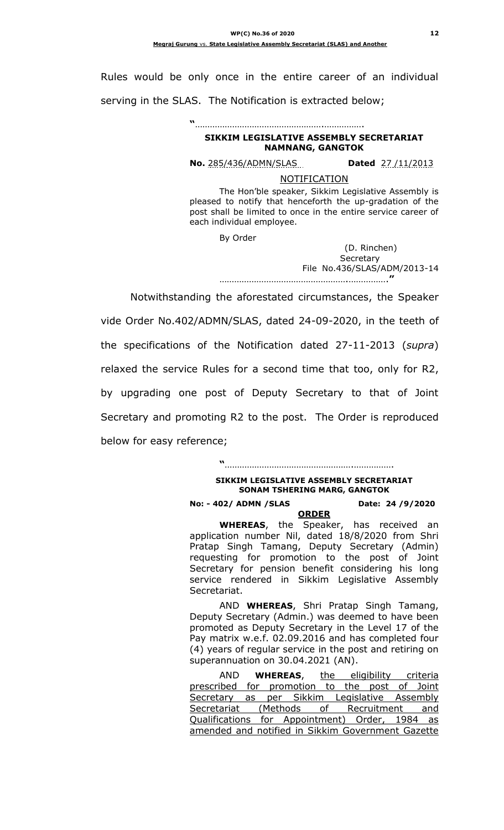Rules would be only once in the entire career of an individual serving in the SLAS. The Notification is extracted below;

## **"**…………………………………………….……………. **SIKKIM LEGISLATIVE ASSEMBLY SECRETARIAT NAMNANG, GANGTOK**

**No.** 285/436/ADMN/SLAS **Dated** 27 /11/2013

**NOTIFICATION** 

The Hon"ble speaker, Sikkim Legislative Assembly is pleased to notify that henceforth the up-gradation of the post shall be limited to once in the entire service career of each individual employee.

By Order

(D. Rinchen) **Secretary**  File No.436/SLAS/ADM/2013-14 …………………………………………….…………….**"**

Notwithstanding the aforestated circumstances, the Speaker

vide Order No.402/ADMN/SLAS, dated 24-09-2020, in the teeth of the specifications of the Notification dated 27-11-2013 (*supra*) relaxed the service Rules for a second time that too, only for R2, by upgrading one post of Deputy Secretary to that of Joint Secretary and promoting R2 to the post. The Order is reproduced below for easy reference;

> **"**…………………………………………….……………. **SIKKIM LEGISLATIVE ASSEMBLY SECRETARIAT SONAM TSHERING MARG, GANGTOK**

## **No: - 402/ ADMN /SLAS Date: 24 /9/2020**

**ORDER WHEREAS**, the Speaker, has received an application number Nil, dated 18/8/2020 from Shri Pratap Singh Tamang, Deputy Secretary (Admin) requesting for promotion to the post of Joint Secretary for pension benefit considering his long service rendered in Sikkim Legislative Assembly Secretariat.

AND **WHEREAS**, Shri Pratap Singh Tamang, Deputy Secretary (Admin.) was deemed to have been promoted as Deputy Secretary in the Level 17 of the Pay matrix w.e.f. 02.09.2016 and has completed four (4) years of regular service in the post and retiring on superannuation on 30.04.2021 (AN).

AND **WHEREAS**, the eligibility criteria prescribed for promotion to the post of Joint Secretary as per Sikkim Legislative Assembly Secretariat (Methods of Recruitment and Qualifications for Appointment) Order, 1984 as amended and notified in Sikkim Government Gazette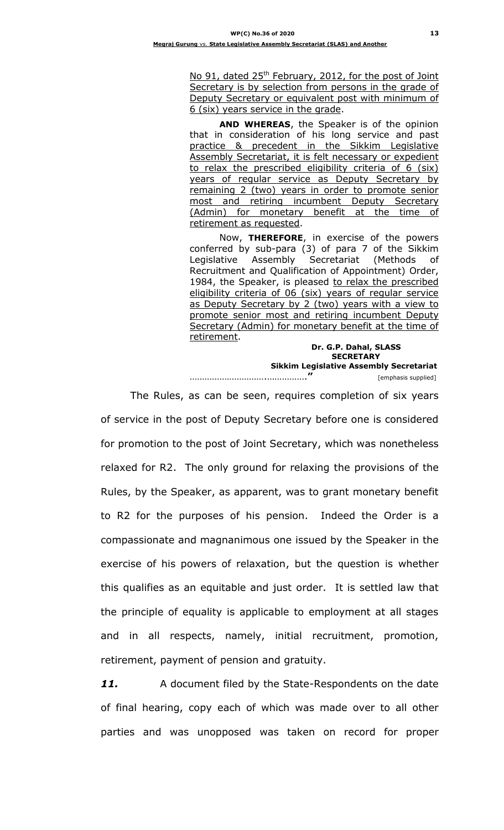No 91, dated 25<sup>th</sup> February, 2012, for the post of Joint Secretary is by selection from persons in the grade of Deputy Secretary or equivalent post with minimum of 6 (six) years service in the grade.

**AND WHEREAS**, the Speaker is of the opinion that in consideration of his long service and past practice & precedent in the Sikkim Legislative Assembly Secretariat, it is felt necessary or expedient to relax the prescribed eligibility criteria of 6 (six) years of regular service as Deputy Secretary by remaining 2 (two) years in order to promote senior most and retiring incumbent Deputy Secretary (Admin) for monetary benefit at the time of retirement as requested.

Now, **THEREFORE**, in exercise of the powers conferred by sub-para (3) of para 7 of the Sikkim Legislative Assembly Secretariat (Methods of Recruitment and Qualification of Appointment) Order, 1984, the Speaker, is pleased to relax the prescribed eligibility criteria of 06 (six) years of regular service as Deputy Secretary by 2 (two) years with a view to promote senior most and retiring incumbent Deputy Secretary (Admin) for monetary benefit at the time of retirement.

> **Dr. G.P. Dahal, SLASS SECRETARY**

 **Sikkim Legislative Assembly Secretariat** ………………………….…………….**"** [emphasis supplied]

The Rules, as can be seen, requires completion of six years of service in the post of Deputy Secretary before one is considered for promotion to the post of Joint Secretary, which was nonetheless relaxed for R2. The only ground for relaxing the provisions of the Rules, by the Speaker, as apparent, was to grant monetary benefit to R2 for the purposes of his pension. Indeed the Order is a compassionate and magnanimous one issued by the Speaker in the exercise of his powers of relaxation, but the question is whether this qualifies as an equitable and just order. It is settled law that the principle of equality is applicable to employment at all stages and in all respects, namely, initial recruitment, promotion, retirement, payment of pension and gratuity.

*11.* A document filed by the State-Respondents on the date of final hearing, copy each of which was made over to all other parties and was unopposed was taken on record for proper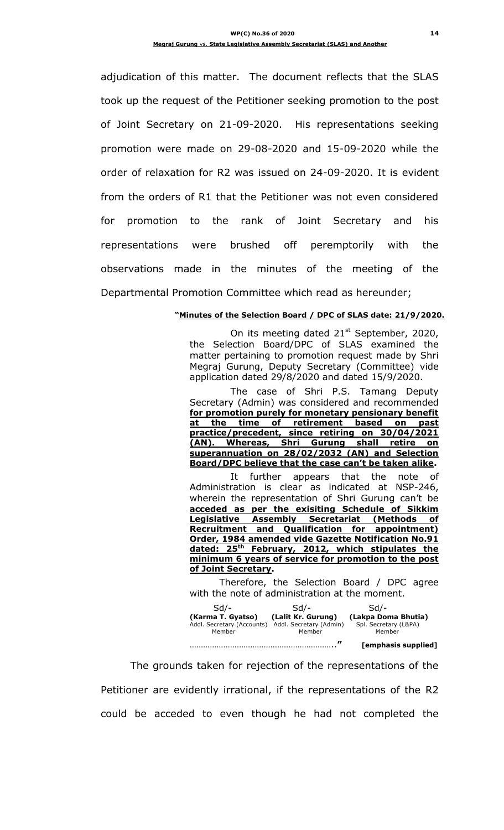adjudication of this matter. The document reflects that the SLAS took up the request of the Petitioner seeking promotion to the post of Joint Secretary on 21-09-2020. His representations seeking promotion were made on 29-08-2020 and 15-09-2020 while the order of relaxation for R2 was issued on 24-09-2020. It is evident from the orders of R1 that the Petitioner was not even considered for promotion to the rank of Joint Secretary and his representations were brushed off peremptorily with the observations made in the minutes of the meeting of the Departmental Promotion Committee which read as hereunder;

#### **"Minutes of the Selection Board / DPC of SLAS date: 21/9/2020.**

On its meeting dated 21<sup>st</sup> September, 2020, the Selection Board/DPC of SLAS examined the matter pertaining to promotion request made by Shri Megraj Gurung, Deputy Secretary (Committee) vide application dated 29/8/2020 and dated 15/9/2020.

The case of Shri P.S. Tamang Deputy Secretary (Admin) was considered and recommended **for promotion purely for monetary pensionary benefit at the time of retirement based on past practice/precedent, since retiring on 30/04/2021 (AN). Whereas, Shri Gurung shall retire on superannuation on 28/02/2032 (AN) and Selection Board/DPC believe that the case can't be taken alike.**

It further appears that the note of Administration is clear as indicated at NSP-246, wherein the representation of Shri Gurung can't be **acceded as per the exisiting Schedule of Sikkim Legislative Assembly Secretariat (Methods of Recruitment and Qualification for appointment) Order, 1984 amended vide Gazette Notification No.91 dated: 25th February, 2012, which stipulates the minimum 6 years of service for promotion to the post of Joint Secretary.**

Therefore, the Selection Board / DPC agree with the note of administration at the moment.

| Sd/-                                                      | -/bc                                                    | Sd/-                                                   |
|-----------------------------------------------------------|---------------------------------------------------------|--------------------------------------------------------|
| (Karma T. Gyatso)<br>Addl. Secretary (Accounts)<br>Member | (Lalit Kr. Gurung)<br>Addl. Secretary (Admin)<br>Member | (Lakpa Doma Bhutia)<br>Spl. Secretary (L&PA)<br>Member |
|                                                           | "                                                       | [emphasis supplied]                                    |

The grounds taken for rejection of the representations of the Petitioner are evidently irrational, if the representations of the R2 could be acceded to even though he had not completed the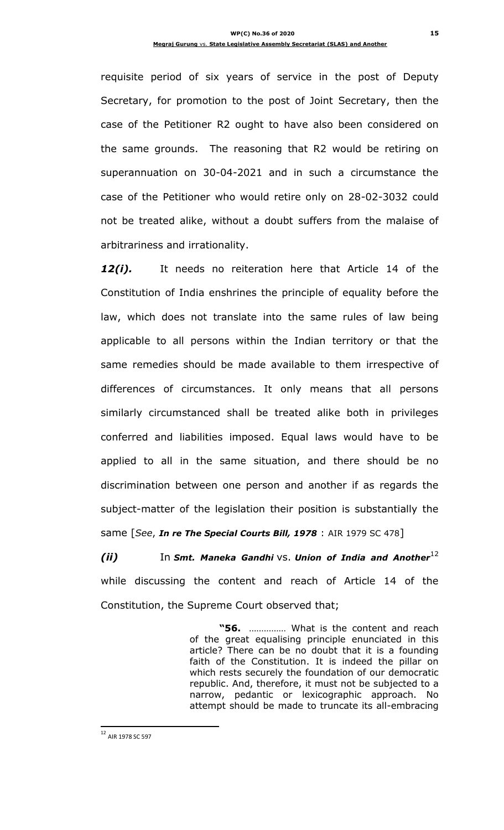requisite period of six years of service in the post of Deputy Secretary, for promotion to the post of Joint Secretary, then the case of the Petitioner R2 ought to have also been considered on the same grounds. The reasoning that R2 would be retiring on superannuation on 30-04-2021 and in such a circumstance the case of the Petitioner who would retire only on 28-02-3032 could not be treated alike, without a doubt suffers from the malaise of arbitrariness and irrationality.

*12(i).* It needs no reiteration here that Article 14 of the Constitution of India enshrines the principle of equality before the law, which does not translate into the same rules of law being applicable to all persons within the Indian territory or that the same remedies should be made available to them irrespective of differences of circumstances. It only means that all persons similarly circumstanced shall be treated alike both in privileges conferred and liabilities imposed. Equal laws would have to be applied to all in the same situation, and there should be no discrimination between one person and another if as regards the subject-matter of the legislation their position is substantially the same [*See*, *In re The Special Courts Bill, 1978* : AIR 1979 SC 478]

*(ii)* In *Smt. Maneka Gandhi* vs. *Union of India and Another*<sup>12</sup> while discussing the content and reach of Article 14 of the Constitution, the Supreme Court observed that;

> **"56.** …………… What is the content and reach of the great equalising principle enunciated in this article? There can be no doubt that it is a founding faith of the Constitution. It is indeed the pillar on which rests securely the foundation of our democratic republic. And, therefore, it must not be subjected to a narrow, pedantic or lexicographic approach. No attempt should be made to truncate its all-embracing

<sup>&</sup>lt;sup>12</sup> AIR 1978 SC 597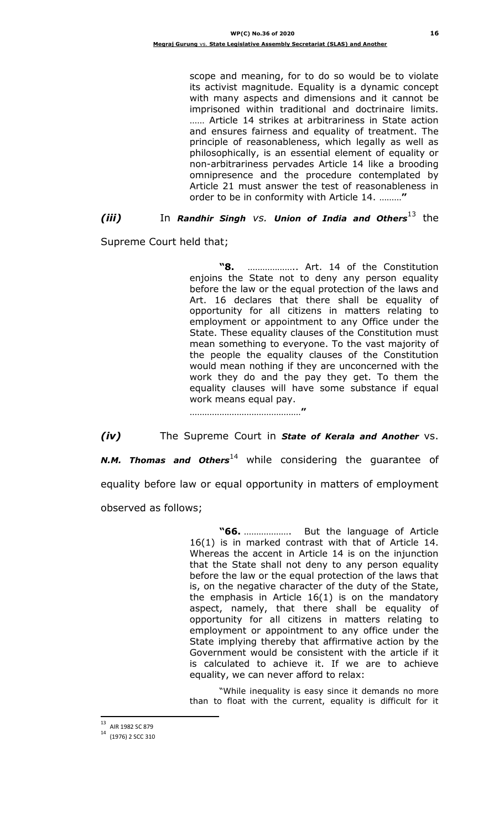scope and meaning, for to do so would be to violate its activist magnitude. Equality is a dynamic concept with many aspects and dimensions and it cannot be imprisoned within traditional and doctrinaire limits. …… Article 14 strikes at arbitrariness in State action and ensures fairness and equality of treatment. The principle of reasonableness, which legally as well as philosophically, is an essential element of equality or non-arbitrariness pervades Article 14 like a brooding omnipresence and the procedure contemplated by Article 21 must answer the test of reasonableness in order to be in conformity with Article 14. ………**"**

# *(iii)* In *Randhir Singh vs. Union of India and Others*<sup>13</sup> the

Supreme Court held that;

**"8.** ……………….. Art. 14 of the Constitution enjoins the State not to deny any person equality before the law or the equal protection of the laws and Art. 16 declares that there shall be equality of opportunity for all citizens in matters relating to employment or appointment to any Office under the State. These equality clauses of the Constitution must mean something to everyone. To the vast majority of the people the equality clauses of the Constitution would mean nothing if they are unconcerned with the work they do and the pay they get. To them the equality clauses will have some substance if equal work means equal pay.

………………………………………**"**

*(iv)* The Supreme Court in *State of Kerala and Another* vs. *N.M. Thomas and Others*<sup>14</sup> while considering the guarantee of equality before law or equal opportunity in matters of employment observed as follows;

> **"66.** ………………. But the language of Article 16(1) is in marked contrast with that of Article 14. Whereas the accent in Article 14 is on the injunction that the State shall not deny to any person equality before the law or the equal protection of the laws that is, on the negative character of the duty of the State, the emphasis in Article 16(1) is on the mandatory aspect, namely, that there shall be equality of opportunity for all citizens in matters relating to employment or appointment to any office under the State implying thereby that affirmative action by the Government would be consistent with the article if it is calculated to achieve it. If we are to achieve equality, we can never afford to relax:

> "While inequality is easy since it demands no more than to float with the current, equality is difficult for it

<sup>&</sup>lt;sup>13</sup> AIR 1982 SC 879

 $14$  (1976) 2 SCC 310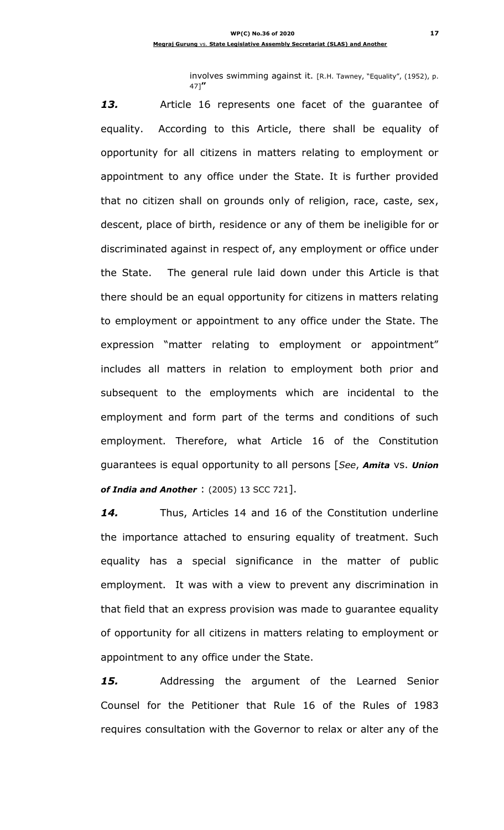involves swimming against it. [R.H. Tawney, "Equality", (1952), p. 47]**"**

*13.* Article 16 represents one facet of the guarantee of equality. According to this Article, there shall be equality of opportunity for all citizens in matters relating to employment or appointment to any office under the State. It is further provided that no citizen shall on grounds only of religion, race, caste, sex, descent, place of birth, residence or any of them be ineligible for or discriminated against in respect of, any employment or office under the State. The general rule laid down under this Article is that there should be an equal opportunity for citizens in matters relating to employment or appointment to any office under the State. The expression "matter relating to employment or appointment" includes all matters in relation to employment both prior and subsequent to the employments which are incidental to the employment and form part of the terms and conditions of such employment. Therefore, what Article 16 of the Constitution guarantees is equal opportunity to all persons [*See*, *Amita* vs. *Union of India and Another* : (2005) 13 SCC 721].

*14.* Thus, Articles 14 and 16 of the Constitution underline the importance attached to ensuring equality of treatment. Such equality has a special significance in the matter of public employment. It was with a view to prevent any discrimination in that field that an express provision was made to guarantee equality of opportunity for all citizens in matters relating to employment or appointment to any office under the State.

*15.* Addressing the argument of the Learned Senior Counsel for the Petitioner that Rule 16 of the Rules of 1983 requires consultation with the Governor to relax or alter any of the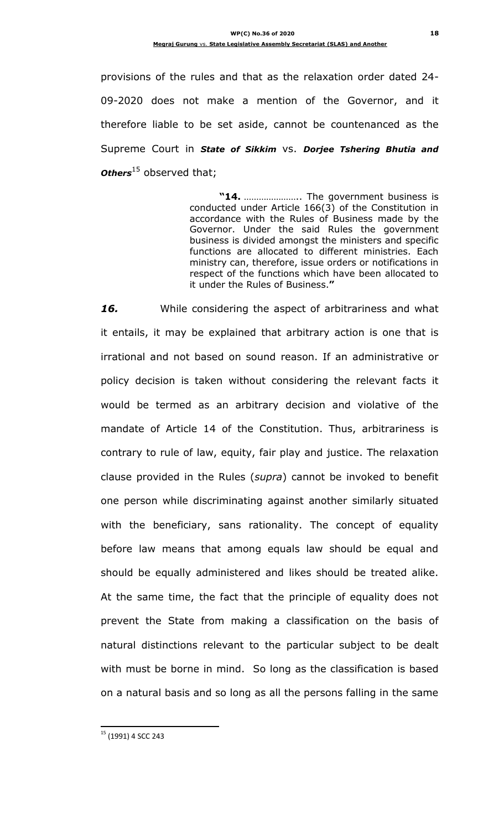provisions of the rules and that as the relaxation order dated 24- 09-2020 does not make a mention of the Governor, and it therefore liable to be set aside, cannot be countenanced as the Supreme Court in *State of Sikkim* vs. *Dorjee Tshering Bhutia and Others*<sup>15</sup> observed that;

> **"14.** ………………….. The government business is conducted under Article 166(3) of the Constitution in accordance with the Rules of Business made by the Governor. Under the said Rules the government business is divided amongst the ministers and specific functions are allocated to different ministries. Each ministry can, therefore, issue orders or notifications in respect of the functions which have been allocated to it under the Rules of Business.**"**

*16.* While considering the aspect of arbitrariness and what it entails, it may be explained that arbitrary action is one that is irrational and not based on sound reason. If an administrative or policy decision is taken without considering the relevant facts it would be termed as an arbitrary decision and violative of the mandate of Article 14 of the Constitution. Thus, arbitrariness is contrary to rule of law, equity, fair play and justice. The relaxation clause provided in the Rules (*supra*) cannot be invoked to benefit one person while discriminating against another similarly situated with the beneficiary, sans rationality. The concept of equality before law means that among equals law should be equal and should be equally administered and likes should be treated alike. At the same time, the fact that the principle of equality does not prevent the State from making a classification on the basis of natural distinctions relevant to the particular subject to be dealt with must be borne in mind. So long as the classification is based on a natural basis and so long as all the persons falling in the same

 $\overline{a}$ <sup>15</sup> (1991) 4 SCC 243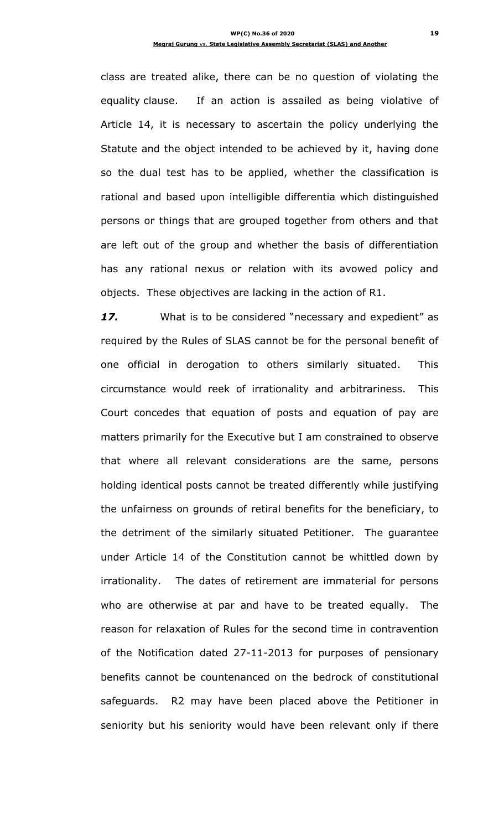class are treated alike, there can be no question of violating the equality clause. If an action is assailed as being violative of Article 14, it is necessary to ascertain the policy underlying the Statute and the object intended to be achieved by it, having done so the dual test has to be applied, whether the classification is rational and based upon intelligible differentia which distinguished persons or things that are grouped together from others and that are left out of the group and whether the basis of differentiation has any rational nexus or relation with its avowed policy and objects. These objectives are lacking in the action of R1.

17. What is to be considered "necessary and expedient" as required by the Rules of SLAS cannot be for the personal benefit of one official in derogation to others similarly situated. This circumstance would reek of irrationality and arbitrariness. This Court concedes that equation of posts and equation of pay are matters primarily for the Executive but I am constrained to observe that where all relevant considerations are the same, persons holding identical posts cannot be treated differently while justifying the unfairness on grounds of retiral benefits for the beneficiary, to the detriment of the similarly situated Petitioner. The guarantee under Article 14 of the Constitution cannot be whittled down by irrationality. The dates of retirement are immaterial for persons who are otherwise at par and have to be treated equally. The reason for relaxation of Rules for the second time in contravention of the Notification dated 27-11-2013 for purposes of pensionary benefits cannot be countenanced on the bedrock of constitutional safeguards. R2 may have been placed above the Petitioner in seniority but his seniority would have been relevant only if there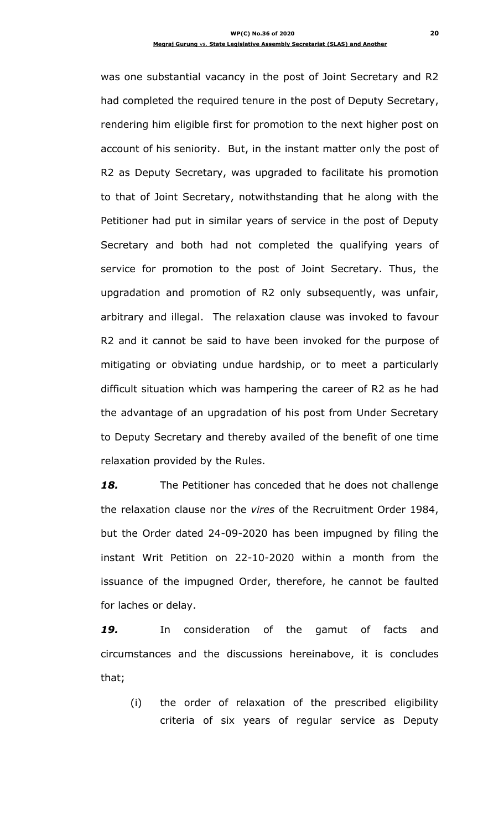was one substantial vacancy in the post of Joint Secretary and R2 had completed the required tenure in the post of Deputy Secretary, rendering him eligible first for promotion to the next higher post on account of his seniority. But, in the instant matter only the post of R2 as Deputy Secretary, was upgraded to facilitate his promotion to that of Joint Secretary, notwithstanding that he along with the Petitioner had put in similar years of service in the post of Deputy Secretary and both had not completed the qualifying years of service for promotion to the post of Joint Secretary. Thus, the upgradation and promotion of R2 only subsequently, was unfair, arbitrary and illegal. The relaxation clause was invoked to favour R2 and it cannot be said to have been invoked for the purpose of mitigating or obviating undue hardship, or to meet a particularly difficult situation which was hampering the career of R2 as he had the advantage of an upgradation of his post from Under Secretary to Deputy Secretary and thereby availed of the benefit of one time relaxation provided by the Rules.

*18.* The Petitioner has conceded that he does not challenge the relaxation clause nor the *vires* of the Recruitment Order 1984, but the Order dated 24-09-2020 has been impugned by filing the instant Writ Petition on 22-10-2020 within a month from the issuance of the impugned Order, therefore, he cannot be faulted for laches or delay.

*19.* In consideration of the gamut of facts and circumstances and the discussions hereinabove, it is concludes that;

(i) the order of relaxation of the prescribed eligibility criteria of six years of regular service as Deputy